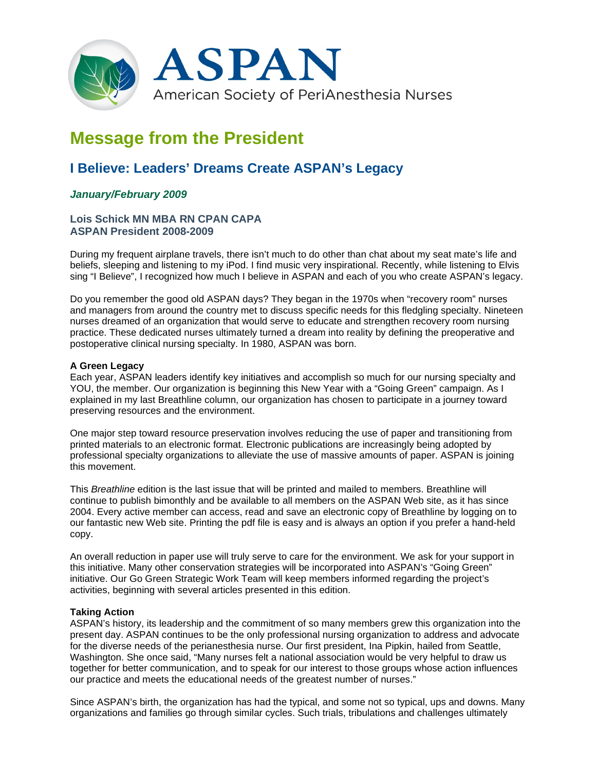

# **Message from the President**

# **I Believe: Leaders' Dreams Create ASPAN's Legacy**

## *January/February 2009*

### **Lois Schick MN MBA RN CPAN CAPA ASPAN President 2008-2009**

During my frequent airplane travels, there isn't much to do other than chat about my seat mate's life and beliefs, sleeping and listening to my iPod. I find music very inspirational. Recently, while listening to Elvis sing "I Believe", I recognized how much I believe in ASPAN and each of you who create ASPAN's legacy.

Do you remember the good old ASPAN days? They began in the 1970s when "recovery room" nurses and managers from around the country met to discuss specific needs for this fledgling specialty. Nineteen nurses dreamed of an organization that would serve to educate and strengthen recovery room nursing practice. These dedicated nurses ultimately turned a dream into reality by defining the preoperative and postoperative clinical nursing specialty. In 1980, ASPAN was born.

#### **A Green Legacy**

Each year, ASPAN leaders identify key initiatives and accomplish so much for our nursing specialty and YOU, the member. Our organization is beginning this New Year with a "Going Green" campaign. As I explained in my last Breathline column, our organization has chosen to participate in a journey toward preserving resources and the environment.

One major step toward resource preservation involves reducing the use of paper and transitioning from printed materials to an electronic format. Electronic publications are increasingly being adopted by professional specialty organizations to alleviate the use of massive amounts of paper. ASPAN is joining this movement.

This *Breathline* edition is the last issue that will be printed and mailed to members. Breathline will continue to publish bimonthly and be available to all members on the ASPAN Web site, as it has since 2004. Every active member can access, read and save an electronic copy of Breathline by logging on to our fantastic new Web site. Printing the pdf file is easy and is always an option if you prefer a hand-held copy.

An overall reduction in paper use will truly serve to care for the environment. We ask for your support in this initiative. Many other conservation strategies will be incorporated into ASPAN's "Going Green" initiative. Our Go Green Strategic Work Team will keep members informed regarding the project's activities, beginning with several articles presented in this edition.

#### **Taking Action**

ASPAN's history, its leadership and the commitment of so many members grew this organization into the present day. ASPAN continues to be the only professional nursing organization to address and advocate for the diverse needs of the perianesthesia nurse. Our first president, Ina Pipkin, hailed from Seattle, Washington. She once said, "Many nurses felt a national association would be very helpful to draw us together for better communication, and to speak for our interest to those groups whose action influences our practice and meets the educational needs of the greatest number of nurses."

Since ASPAN's birth, the organization has had the typical, and some not so typical, ups and downs. Many organizations and families go through similar cycles. Such trials, tribulations and challenges ultimately